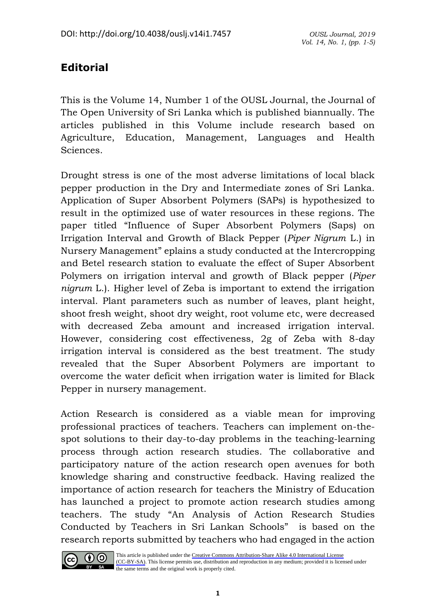## **Editorial**

This is the Volume 14, Number 1 of the OUSL Journal, the Journal of The Open University of Sri Lanka which is published biannually. The articles published in this Volume include research based on Agriculture, Education, Management, Languages and Health Sciences.

Drought stress is one of the most adverse limitations of local black pepper production in the Dry and Intermediate zones of Sri Lanka. Application of Super Absorbent Polymers (SAPs) is hypothesized to result in the optimized use of water resources in these regions. The paper titled "Influence of Super Absorbent Polymers (Saps) on Irrigation Interval and Growth of Black Pepper (*Piper Nigrum* L.) in Nursery Management" eplains a study conducted at the Intercropping and Betel research station to evaluate the effect of Super Absorbent Polymers on irrigation interval and growth of Black pepper (*Piper nigrum* L.). Higher level of Zeba is important to extend the irrigation interval. Plant parameters such as number of leaves, plant height, shoot fresh weight, shoot dry weight, root volume etc, were decreased with decreased Zeba amount and increased irrigation interval. However, considering cost effectiveness, 2g of Zeba with 8-day irrigation interval is considered as the best treatment. The study revealed that the Super Absorbent Polymers are important to overcome the water deficit when irrigation water is limited for Black Pepper in nursery management.

Action Research is considered as a viable mean for improving professional practices of teachers. Teachers can implement on-thespot solutions to their day-to-day problems in the teaching-learning process through action research studies. The collaborative and participatory nature of the action research open avenues for both knowledge sharing and constructive feedback. Having realized the importance of action research for teachers the Ministry of Education has launched a project to promote action research studies among teachers. The study "An Analysis of Action Research Studies Conducted by Teachers in Sri Lankan Schools" is based on the research reports submitted by teachers who had engaged in the action



This article is published under the [Creative Commons Attribution-Share Alike 4.0 International License](https://creativecommons.org/licenses/by-sa/4.0/)  [\(CC-BY-SA\)](https://creativecommons.org/licenses/by-sa/4.0/). This license permits use, distribution and reproduction in any medium; provided it is licensed under  $\overrightarrow{BY}$  **SA** the same terms and the original work is properly cited.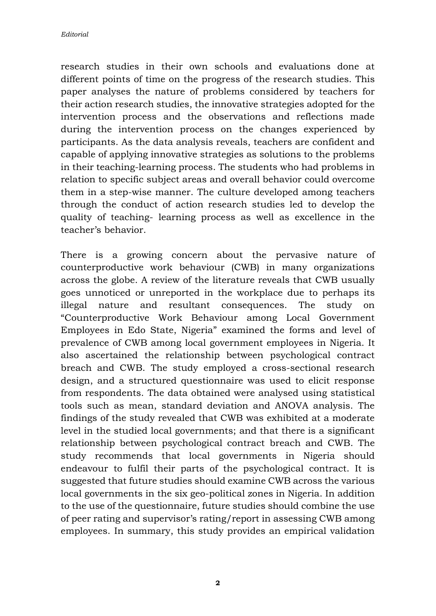research studies in their own schools and evaluations done at different points of time on the progress of the research studies. This paper analyses the nature of problems considered by teachers for their action research studies, the innovative strategies adopted for the intervention process and the observations and reflections made during the intervention process on the changes experienced by participants. As the data analysis reveals, teachers are confident and capable of applying innovative strategies as solutions to the problems in their teaching-learning process. The students who had problems in relation to specific subject areas and overall behavior could overcome them in a step-wise manner. The culture developed among teachers through the conduct of action research studies led to develop the quality of teaching- learning process as well as excellence in the teacher's behavior.

There is a growing concern about the pervasive nature of counterproductive work behaviour (CWB) in many organizations across the globe. A review of the literature reveals that CWB usually goes unnoticed or unreported in the workplace due to perhaps its illegal nature and resultant consequences. The study on "Counterproductive Work Behaviour among Local Government Employees in Edo State, Nigeria" examined the forms and level of prevalence of CWB among local government employees in Nigeria. It also ascertained the relationship between psychological contract breach and CWB. The study employed a cross-sectional research design, and a structured questionnaire was used to elicit response from respondents. The data obtained were analysed using statistical tools such as mean, standard deviation and ANOVA analysis. The findings of the study revealed that CWB was exhibited at a moderate level in the studied local governments; and that there is a significant relationship between psychological contract breach and CWB. The study recommends that local governments in Nigeria should endeavour to fulfil their parts of the psychological contract. It is suggested that future studies should examine CWB across the various local governments in the six geo-political zones in Nigeria. In addition to the use of the questionnaire, future studies should combine the use of peer rating and supervisor's rating/report in assessing CWB among employees. In summary, this study provides an empirical validation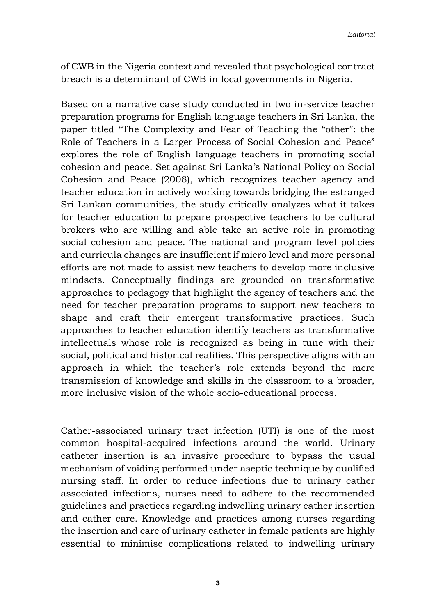of CWB in the Nigeria context and revealed that psychological contract breach is a determinant of CWB in local governments in Nigeria.

Based on a narrative case study conducted in two in-service teacher preparation programs for English language teachers in Sri Lanka, the paper titled "The Complexity and Fear of Teaching the "other": the Role of Teachers in a Larger Process of Social Cohesion and Peace" explores the role of English language teachers in promoting social cohesion and peace. Set against Sri Lanka's National Policy on Social Cohesion and Peace (2008), which recognizes teacher agency and teacher education in actively working towards bridging the estranged Sri Lankan communities, the study critically analyzes what it takes for teacher education to prepare prospective teachers to be cultural brokers who are willing and able take an active role in promoting social cohesion and peace. The national and program level policies and curricula changes are insufficient if micro level and more personal efforts are not made to assist new teachers to develop more inclusive mindsets. Conceptually findings are grounded on transformative approaches to pedagogy that highlight the agency of teachers and the need for teacher preparation programs to support new teachers to shape and craft their emergent transformative practices. Such approaches to teacher education identify teachers as transformative intellectuals whose role is recognized as being in tune with their social, political and historical realities. This perspective aligns with an approach in which the teacher's role extends beyond the mere transmission of knowledge and skills in the classroom to a broader, more inclusive vision of the whole socio-educational process.

Cather-associated urinary tract infection (UTI) is one of the most common hospital-acquired infections around the world. Urinary catheter insertion is an invasive procedure to bypass the usual mechanism of voiding performed under aseptic technique by qualified nursing staff. In order to reduce infections due to urinary cather associated infections, nurses need to adhere to the recommended guidelines and practices regarding indwelling urinary cather insertion and cather care. Knowledge and practices among nurses regarding the insertion and care of urinary catheter in female patients are highly essential to minimise complications related to indwelling urinary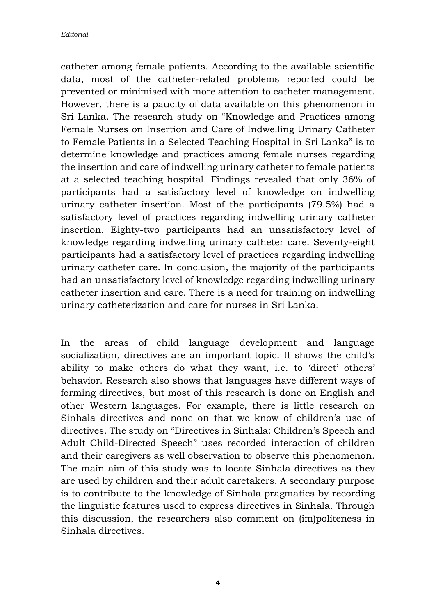catheter among female patients. According to the available scientific data, most of the catheter-related problems reported could be prevented or minimised with more attention to catheter management. However, there is a paucity of data available on this phenomenon in Sri Lanka. The research study on "Knowledge and Practices among Female Nurses on Insertion and Care of Indwelling Urinary Catheter to Female Patients in a Selected Teaching Hospital in Sri Lanka" is to determine knowledge and practices among female nurses regarding the insertion and care of indwelling urinary catheter to female patients at a selected teaching hospital. Findings revealed that only 36% of participants had a satisfactory level of knowledge on indwelling urinary catheter insertion. Most of the participants (79.5%) had a satisfactory level of practices regarding indwelling urinary catheter insertion. Eighty-two participants had an unsatisfactory level of knowledge regarding indwelling urinary catheter care. Seventy-eight participants had a satisfactory level of practices regarding indwelling urinary catheter care. In conclusion, the majority of the participants had an unsatisfactory level of knowledge regarding indwelling urinary catheter insertion and care. There is a need for training on indwelling urinary catheterization and care for nurses in Sri Lanka.

In the areas of child language development and language socialization, directives are an important topic. It shows the child's ability to make others do what they want, i.e. to 'direct' others' behavior. Research also shows that languages have different ways of forming directives, but most of this research is done on English and other Western languages. For example, there is little research on Sinhala directives and none on that we know of children's use of directives. The study on "Directives in Sinhala: Children's Speech and Adult Child-Directed Speech" uses recorded interaction of children and their caregivers as well observation to observe this phenomenon. The main aim of this study was to locate Sinhala directives as they are used by children and their adult caretakers. A secondary purpose is to contribute to the knowledge of Sinhala pragmatics by recording the linguistic features used to express directives in Sinhala. Through this discussion, the researchers also comment on (im)politeness in Sinhala directives.